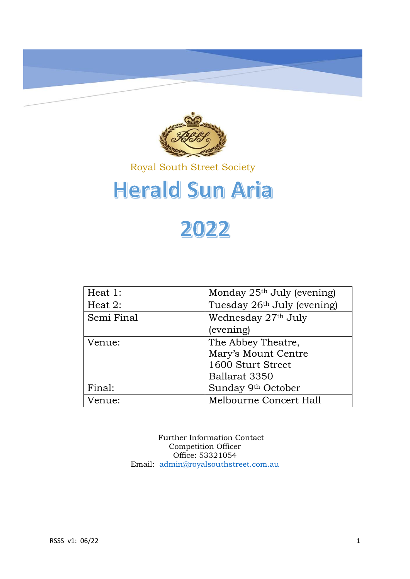

### Royal South Street Society

# **Herald Sun Aria**

## 2022

| Heat 1:    | Monday $25th$ July (evening)            |
|------------|-----------------------------------------|
| Heat $2$ : | Tuesday 26 <sup>th</sup> July (evening) |
| Semi Final | Wednesday 27th July                     |
|            | (evening)                               |
| Venue:     | The Abbey Theatre,                      |
|            | Mary's Mount Centre                     |
|            | 1600 Sturt Street                       |
|            | Ballarat 3350                           |
| Final:     | Sunday 9th October                      |
| Venue:     | Melbourne Concert Hall                  |

Further Information Contact Competition Officer Office: 53321054 Email: [admin@royalsouthstreet.com.au](mailto:admin@royalsouthstreet.com.au)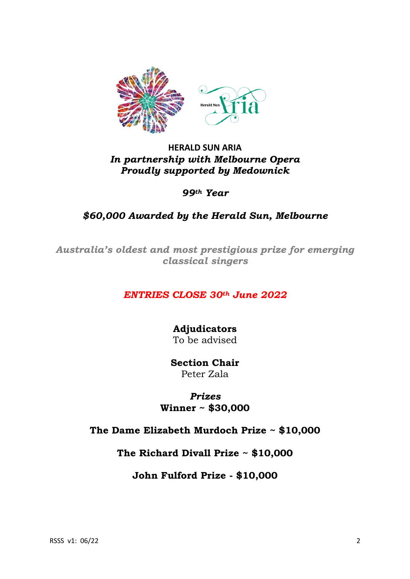

#### **HERALD SUN ARIA** *In partnership with Melbourne Opera Proudly supported by Medownick*

*99th Year*

#### *\$60,000 Awarded by the Herald Sun, Melbourne*

*Australia's oldest and most prestigious prize for emerging classical singers*

#### *ENTRIES CLOSE 30th June 2022*

**Adjudicators** To be advised

**Section Chair** Peter Zala

*Prizes* **Winner ~ \$30,000**

#### **The Dame Elizabeth Murdoch Prize ~ \$10,000**

**The Richard Divall Prize ~ \$10,000**

**John Fulford Prize - \$10,000**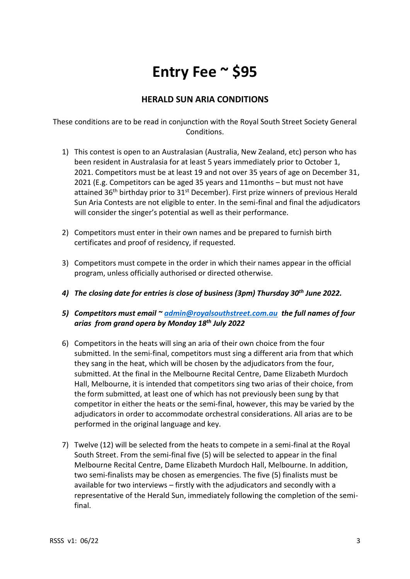### **Entry Fee ~ \$95**

#### **HERALD SUN ARIA CONDITIONS**

These conditions are to be read in conjunction with the Royal South Street Society General Conditions.

- 1) This contest is open to an Australasian (Australia, New Zealand, etc) person who has been resident in Australasia for at least 5 years immediately prior to October 1, 2021. Competitors must be at least 19 and not over 35 years of age on December 31, 2021 (E.g. Competitors can be aged 35 years and 11months – but must not have attained  $36<sup>th</sup>$  birthday prior to  $31<sup>st</sup>$  December). First prize winners of previous Herald Sun Aria Contests are not eligible to enter. In the semi-final and final the adjudicators will consider the singer's potential as well as their performance.
- 2) Competitors must enter in their own names and be prepared to furnish birth certificates and proof of residency, if requested.
- 3) Competitors must compete in the order in which their names appear in the official program, unless officially authorised or directed otherwise.
- *4) The closing date for entries is close of business (3pm) Thursday 30th June 2022.*
- *5) Competitors must email ~ [admin@royalsouthstreet.com.au](mailto:admin@royalsouthstreet.com.au) the full names of four arias from grand opera by Monday 18th July 2022*
- 6) Competitors in the heats will sing an aria of their own choice from the four submitted. In the semi-final, competitors must sing a different aria from that which they sang in the heat, which will be chosen by the adjudicators from the four, submitted. At the final in the Melbourne Recital Centre, Dame Elizabeth Murdoch Hall, Melbourne, it is intended that competitors sing two arias of their choice, from the form submitted, at least one of which has not previously been sung by that competitor in either the heats or the semi-final, however, this may be varied by the adjudicators in order to accommodate orchestral considerations. All arias are to be performed in the original language and key.
- 7) Twelve (12) will be selected from the heats to compete in a semi-final at the Royal South Street. From the semi-final five (5) will be selected to appear in the final Melbourne Recital Centre, Dame Elizabeth Murdoch Hall, Melbourne. In addition, two semi-finalists may be chosen as emergencies. The five (5) finalists must be available for two interviews – firstly with the adjudicators and secondly with a representative of the Herald Sun, immediately following the completion of the semifinal.